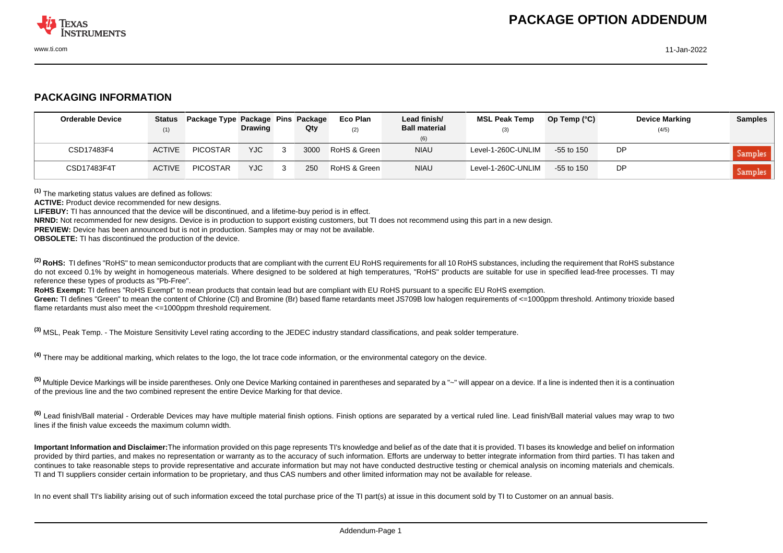

## **PACKAGING INFORMATION**

| <b>Orderable Device</b> | (1)           | Status Package Type Package Pins Package | <b>Drawing</b> | Qty  | Eco Plan<br>(2) | Lead finish/<br><b>Ball material</b><br>(6) | <b>MSL Peak Temp</b><br>(3) | Op Temp $(^{\circ}C)$ | <b>Device Marking</b><br>(4/5) | <b>Samples</b> |
|-------------------------|---------------|------------------------------------------|----------------|------|-----------------|---------------------------------------------|-----------------------------|-----------------------|--------------------------------|----------------|
| CSD17483F4              | <b>ACTIVE</b> | <b>PICOSTAR</b>                          | <b>YJC</b>     | 3000 | RoHS & Green    | <b>NIAU</b>                                 | Level-1-260C-UNLIM          | $-55$ to 150          | <b>DP</b>                      | Samples        |
| CSD17483F4T             | <b>ACTIVE</b> | <b>PICOSTAR</b>                          | <b>YJC</b>     | 250  | RoHS & Green    | <b>NIAU</b>                                 | Level-1-260C-UNLIM          | $-55$ to 150          | <b>DP</b>                      | <b>Samples</b> |

**(1)** The marketing status values are defined as follows:

**ACTIVE:** Product device recommended for new designs.

**LIFEBUY:** TI has announced that the device will be discontinued, and a lifetime-buy period is in effect.

**NRND:** Not recommended for new designs. Device is in production to support existing customers, but TI does not recommend using this part in a new design.

**PREVIEW:** Device has been announced but is not in production. Samples may or may not be available.

**OBSOLETE:** TI has discontinued the production of the device.

<sup>(2)</sup> RoHS: TI defines "RoHS" to mean semiconductor products that are compliant with the current EU RoHS requirements for all 10 RoHS substances, including the requirement that RoHS substance do not exceed 0.1% by weight in homogeneous materials. Where designed to be soldered at high temperatures. "RoHS" products are suitable for use in specified lead-free processes. TI may reference these types of products as "Pb-Free".

**RoHS Exempt:** TI defines "RoHS Exempt" to mean products that contain lead but are compliant with EU RoHS pursuant to a specific EU RoHS exemption.

Green: TI defines "Green" to mean the content of Chlorine (CI) and Bromine (Br) based flame retardants meet JS709B low halogen requirements of <=1000ppm threshold. Antimony trioxide based flame retardants must also meet the <=1000ppm threshold requirement.

**(3)** MSL, Peak Temp. - The Moisture Sensitivity Level rating according to the JEDEC industry standard classifications, and peak solder temperature.

**(4)** There may be additional marking, which relates to the logo, the lot trace code information, or the environmental category on the device.

**(5)** Multiple Device Markings will be inside parentheses. Only one Device Marking contained in parentheses and separated by a "~" will appear on a device. If a line is indented then it is a continuation of the previous line and the two combined represent the entire Device Marking for that device.

**(6)** Lead finish/Ball material - Orderable Devices may have multiple material finish options. Finish options are separated by a vertical ruled line. Lead finish/Ball material values may wrap to two lines if the finish value exceeds the maximum column width.

**Important Information and Disclaimer:**The information provided on this page represents TI's knowledge and belief as of the date that it is provided. TI bases its knowledge and belief on information provided by third parties, and makes no representation or warranty as to the accuracy of such information. Efforts are underway to better integrate information from third parties. TI has taken and continues to take reasonable steps to provide representative and accurate information but may not have conducted destructive testing or chemical analysis on incoming materials and chemicals. TI and TI suppliers consider certain information to be proprietary, and thus CAS numbers and other limited information may not be available for release.

In no event shall TI's liability arising out of such information exceed the total purchase price of the TI part(s) at issue in this document sold by TI to Customer on an annual basis.